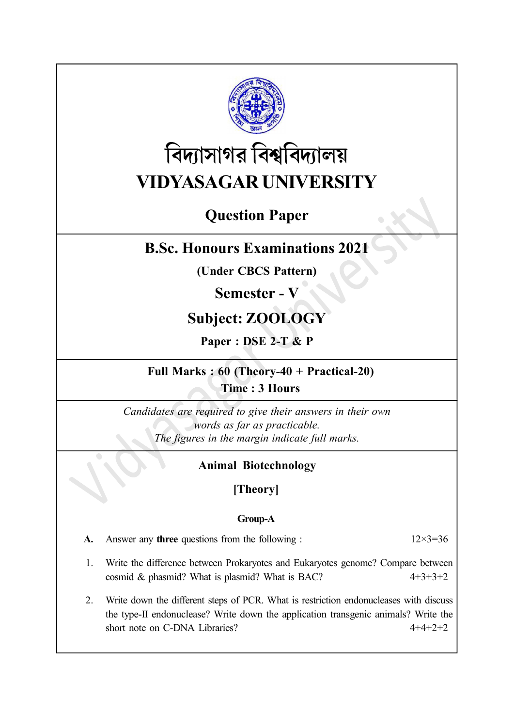

# বিদ্যাসাগর বিশ্ববিদ্যালয় VIDYASAGAR UNIVERSITY

# Question Paper

# B.Sc. Honours Examinations 2021

(Under CBCS Pattern)

# Semester - V

# Subject: ZOOLOGY

Paper : DSE 2-T & P

### Full Marks : 60 (Theory-40 + Practical-20) Time : 3 Hours

Candidates are required to give their answers in their own words as far as practicable. The figures in the margin indicate full marks.

### Animal Biotechnology

# [Theory]

### Group-A

| <b>A.</b> Answer any <b>three</b> questions from the following : | $12\times3=36$ |
|------------------------------------------------------------------|----------------|
|                                                                  |                |

- 1. Write the difference between Prokaryotes and Eukaryotes genome? Compare between cosmid & phasmid? What is plasmid? What is BAC?  $4+3+3+2$
- 2. Write down the different steps of PCR. What is restriction endonucleases with discuss the type-II endonuclease? Write down the application transgenic animals? Write the short note on C-DNA Libraries? 4+4+2+2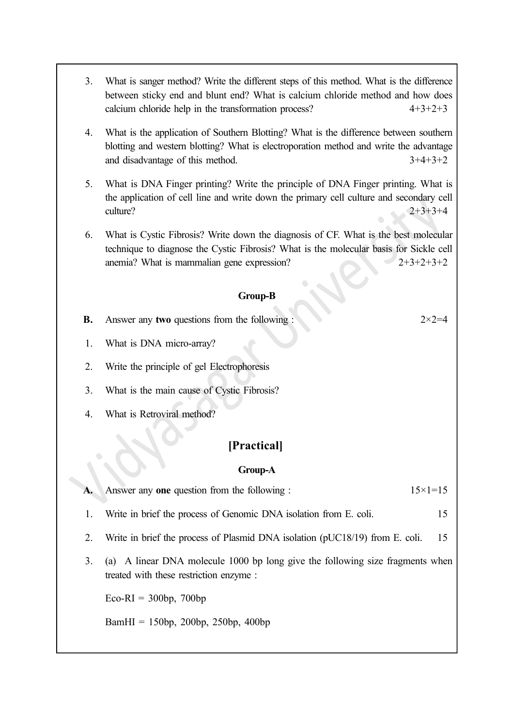- 3. What is sanger method? Write the different steps of this method. What is the difference between sticky end and blunt end? What is calcium chloride method and how does calcium chloride help in the transformation process? 4+3+2+3
- 4. What is the application of Southern Blotting? What is the difference between southern blotting and western blotting? What is electroporation method and write the advantage and disadvantage of this method. 3+4+3+2
- 5. What is DNA Finger printing? Write the principle of DNA Finger printing. What is the application of cell line and write down the primary cell culture and secondary cell culture?  $2+3+3+4$
- 6. What is Cystic Fibrosis? Write down the diagnosis of CF. What is the best molecular technique to diagnose the Cystic Fibrosis? What is the molecular basis for Sickle cell anemia? What is mammalian gene expression?  $2+3+2+3+2$

#### Group-B

**B.** Answer any two questions from the following :  $2 \times 2 = 4$ 

- 1. What is DNA micro-array?
- 2. Write the principle of gel Electrophoresis
- 3. What is the main cause of Cystic Fibrosis?
- 4. What is Retroviral method?

### [Practical]

#### Group-A

|  | A. Answer any one question from the following : | $15 \times 1 = 15$ |
|--|-------------------------------------------------|--------------------|
|--|-------------------------------------------------|--------------------|

- 1. Write in brief the process of Genomic DNA isolation from E. coli. 15
- 2. Write in brief the process of Plasmid DNA isolation (pUC18/19) from E. coli. 15
- 3. (a) A linear DNA molecule 1000 bp long give the following size fragments when treated with these restriction enzyme :

 $Eco-RI = 300bp$ , 700bp

BamHI = 150bp, 200bp, 250bp, 400bp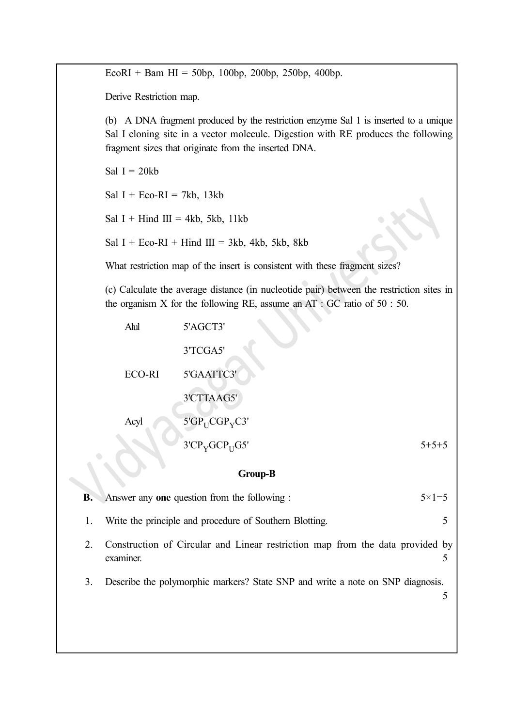EcoRI + Bam HI = 50bp, 100bp, 200bp, 250bp, 400bp.

Derive Restriction map.

(b) A DNA fragment produced by the restriction enzyme Sal 1 is inserted to a unique Sal I cloning site in a vector molecule. Digestion with RE produces the following fragment sizes that originate from the inserted DNA.

Sal  $I = 20kb$ 

Sal I + Eco-RI = 7kb, 13kb

Sal I + Hind III = 4kb, 5kb, 11kb

Sal I + Eco-RI + Hind III = 3kb, 4kb, 5kb, 8kb

What restriction map of the insert is consistent with these fragment sizes?

(c) Calculate the average distance (in nucleotide pair) between the restriction sites in the organism X for the following RE, assume an  $AT : GC$  ratio of  $50 : 50$ .

| Alul          | 5'AGCT3'                               |             |
|---------------|----------------------------------------|-------------|
|               | 3'TCGA5'                               |             |
| <b>ECO-RI</b> | 5'GAATTC3'                             |             |
|               | 3'CTTAAG5'                             |             |
| Acyl          | $5'GP_{U}CGP_{V}C3'$                   |             |
|               | 3'CP <sub>V</sub> GCP <sub>U</sub> GS' | $5 + 5 + 5$ |

#### Group-B

| $\mathbf{B}$ . | Answer any one question from the following :                                               | $5 \times 1 = 5$ |
|----------------|--------------------------------------------------------------------------------------------|------------------|
|                | Write the principle and procedure of Southern Blotting.                                    |                  |
|                | Construction of Circular and Linear restriction map from the data provided by<br>examiner. |                  |
|                | Describe the polymorphic markers? State SNP and write a note on SNP diagnosis.             |                  |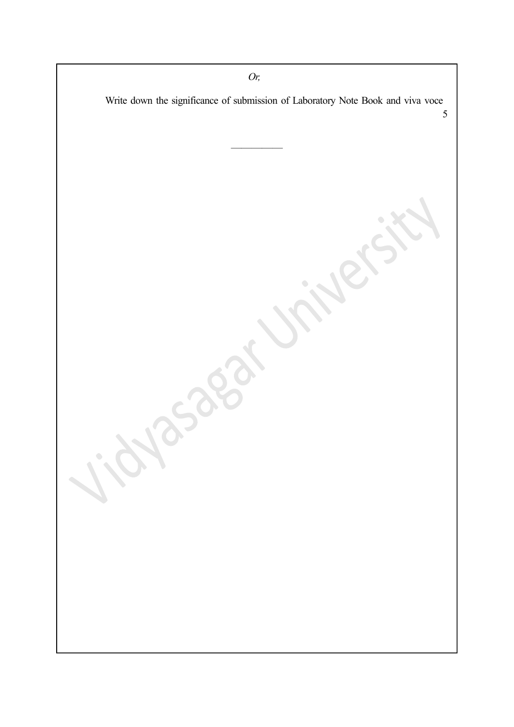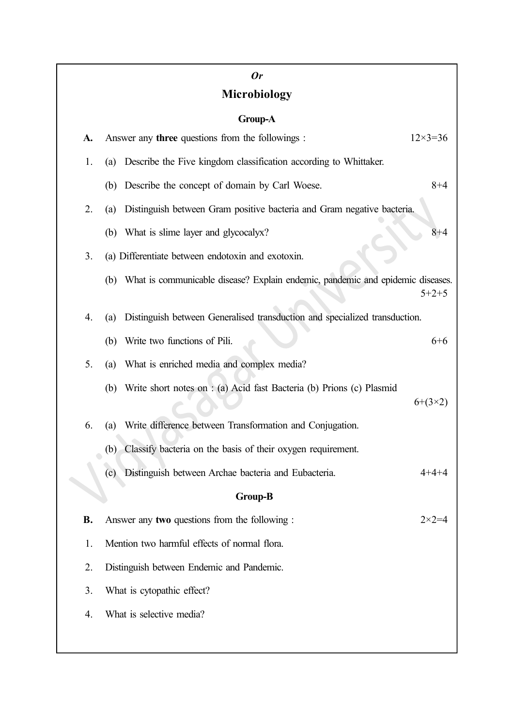# Or Microbiology

### Group-A

| A.             |                                                                                                                         | Answer any three questions from the followings :                                   | $12 \times 3 = 36$ |  |  |
|----------------|-------------------------------------------------------------------------------------------------------------------------|------------------------------------------------------------------------------------|--------------------|--|--|
| 1.             | (a)                                                                                                                     | Describe the Five kingdom classification according to Whittaker.                   |                    |  |  |
|                | (b)                                                                                                                     | Describe the concept of domain by Carl Woese.                                      | $8 + 4$            |  |  |
| 2.             | (a)                                                                                                                     | Distinguish between Gram positive bacteria and Gram negative bacteria.             |                    |  |  |
|                | (b)                                                                                                                     | What is slime layer and glycocalyx?                                                | $8 + 4$            |  |  |
| 3.             | (a) Differentiate between endotoxin and exotoxin.                                                                       |                                                                                    |                    |  |  |
|                |                                                                                                                         | (b) What is communicable disease? Explain endemic, pandemic and epidemic diseases. | $5 + 2 + 5$        |  |  |
| 4.             | Distinguish between Generalised transduction and specialized transduction.<br>(a)                                       |                                                                                    |                    |  |  |
|                | (b)                                                                                                                     | Write two functions of Pili.                                                       | $6+6$              |  |  |
| 5.             | (a)                                                                                                                     | What is enriched media and complex media?                                          |                    |  |  |
|                | (b)                                                                                                                     | Write short notes on : (a) Acid fast Bacteria (b) Prions (c) Plasmid               | $6+(3\times2)$     |  |  |
| 6.             | (a)                                                                                                                     | Write difference between Transformation and Conjugation.                           |                    |  |  |
|                | (b)                                                                                                                     | Classify bacteria on the basis of their oxygen requirement.                        |                    |  |  |
|                | (c)                                                                                                                     | Distinguish between Archae bacteria and Eubacteria.                                | $4 + 4 + 4$        |  |  |
| <b>Group-B</b> |                                                                                                                         |                                                                                    |                    |  |  |
| <b>B.</b>      |                                                                                                                         | Answer any two questions from the following :                                      | $2 \times 2 = 4$   |  |  |
| 1.             | Mention two harmful effects of normal flora.<br>Distinguish between Endemic and Pandemic.<br>What is cytopathic effect? |                                                                                    |                    |  |  |
| 2.             |                                                                                                                         |                                                                                    |                    |  |  |
| 3.             |                                                                                                                         |                                                                                    |                    |  |  |
| 4.             |                                                                                                                         | What is selective media?                                                           |                    |  |  |
|                |                                                                                                                         |                                                                                    |                    |  |  |